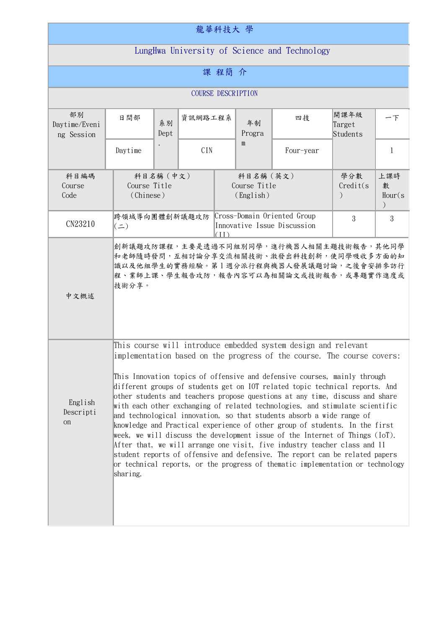| 龍華科技大 學                                      |                           |                                                                                                                                                                                                                                                                                                                                                                                                                                                                                                                                                                                                                                                                                                                                                                                                                                                                                                                                                              |         |                                        |                                                                    |                                      |                                      |    |  |  |  |
|----------------------------------------------|---------------------------|--------------------------------------------------------------------------------------------------------------------------------------------------------------------------------------------------------------------------------------------------------------------------------------------------------------------------------------------------------------------------------------------------------------------------------------------------------------------------------------------------------------------------------------------------------------------------------------------------------------------------------------------------------------------------------------------------------------------------------------------------------------------------------------------------------------------------------------------------------------------------------------------------------------------------------------------------------------|---------|----------------------------------------|--------------------------------------------------------------------|--------------------------------------|--------------------------------------|----|--|--|--|
| LungHwa University of Science and Technology |                           |                                                                                                                                                                                                                                                                                                                                                                                                                                                                                                                                                                                                                                                                                                                                                                                                                                                                                                                                                              |         |                                        |                                                                    |                                      |                                      |    |  |  |  |
| 課程簡介                                         |                           |                                                                                                                                                                                                                                                                                                                                                                                                                                                                                                                                                                                                                                                                                                                                                                                                                                                                                                                                                              |         |                                        |                                                                    |                                      |                                      |    |  |  |  |
| <b>COURSE DESCRIPTION</b>                    |                           |                                                                                                                                                                                                                                                                                                                                                                                                                                                                                                                                                                                                                                                                                                                                                                                                                                                                                                                                                              |         |                                        |                                                                    |                                      |                                      |    |  |  |  |
| 部別<br>Daytime/Eveni<br>ng Session            | 日間部                       | 系別<br>Dept                                                                                                                                                                                                                                                                                                                                                                                                                                                                                                                                                                                                                                                                                                                                                                                                                                                                                                                                                   | 資訊網路工程系 |                                        | 年制<br>Progra<br>m                                                  | 四技                                   | 開課年級<br>Target<br>Students           | 一下 |  |  |  |
|                                              | Daytime                   |                                                                                                                                                                                                                                                                                                                                                                                                                                                                                                                                                                                                                                                                                                                                                                                                                                                                                                                                                              | CIN     |                                        |                                                                    | Four-year                            |                                      | 1  |  |  |  |
| 科目編碼<br>Course<br>Code                       | Course Title<br>(Chinese) | 科目名稱 (中文)                                                                                                                                                                                                                                                                                                                                                                                                                                                                                                                                                                                                                                                                                                                                                                                                                                                                                                                                                    |         | 科目名稱 (英文)<br>Course Title<br>(English) |                                                                    | 學分數<br>Credit(s)<br>$\left( \right)$ | 上課時<br>數<br>Hour(s)<br>$\mathcal{L}$ |    |  |  |  |
| CN23210                                      | $($ $\equiv$ )            | 跨領域導向團體創新議題攻防                                                                                                                                                                                                                                                                                                                                                                                                                                                                                                                                                                                                                                                                                                                                                                                                                                                                                                                                                |         |                                        | Cross-Domain Oriented Group<br>Innovative Issue Discussion<br>(11) |                                      |                                      | 3  |  |  |  |
| 中文概述                                         | 技術分享。                     | 創新議題攻防課程,主要是透過不同組別同學,進行機器人相關主題技術報告,其他同學<br>和老師隨時發問,互相討論分享交流相關技術、激發出科技創新,使同學吸收多方面的知<br>識以及他組學生的實務經驗。第1週分派行程與機器人發展議題討論,之後會安排參訪行<br> 程、業師上課、學生報告攻防,報告內容可以為相關論文或技術報告,或專題實作進度或                                                                                                                                                                                                                                                                                                                                                                                                                                                                                                                                                                                                                                                                                                                                                                                    |         |                                        |                                                                    |                                      |                                      |    |  |  |  |
| English<br>Descripti<br>on                   | sharing.                  | This course will introduce embedded system design and relevant<br>implementation based on the progress of the course. The course covers:<br>This Innovation topics of offensive and defensive courses, mainly through<br>different groups of students get on IOT related topic technical reports. And<br>other students and teachers propose questions at any time, discuss and share<br>with each other exchanging of related technologies, and stimulate scientific<br>and technological innovation, so that students absorb a wide range of<br>knowledge and Practical experience of other group of students. In the first<br>week, we will discuss the development issue of the Internet of Things (IoT).<br>After that, we will arrange one visit, five industry teacher class and 11<br>student reports of offensive and defensive. The report can be related papers<br>or technical reports, or the progress of thematic implementation or technology |         |                                        |                                                                    |                                      |                                      |    |  |  |  |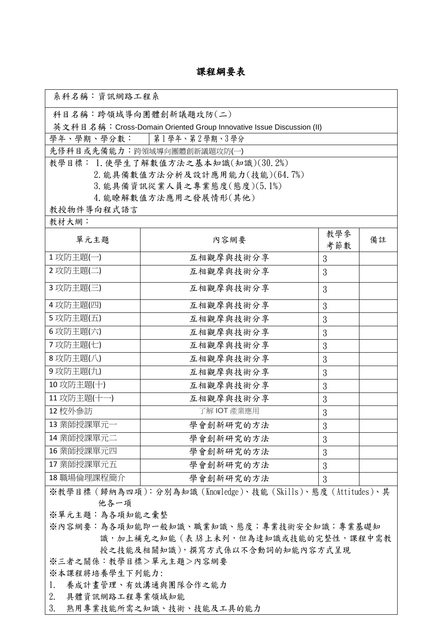## 課程綱要表

| 系科名稱:資訊網路工程系                                                         |                                                          |                |    |  |  |  |  |  |
|----------------------------------------------------------------------|----------------------------------------------------------|----------------|----|--|--|--|--|--|
| 科目名稱:跨領域導向團體創新議題攻防(二)                                                |                                                          |                |    |  |  |  |  |  |
| 英文科目名稱: Cross-Domain Oriented Group Innovative Issue Discussion (II) |                                                          |                |    |  |  |  |  |  |
| 第1學年、第2學期、3學分<br>學年、學期、學分數:                                          |                                                          |                |    |  |  |  |  |  |
| 先修科目或先備能力:跨領域導向團體創新議題攻防(一)                                           |                                                          |                |    |  |  |  |  |  |
| 教學目標: 1. 使學生了解數值方法之基本知識(知識)(30.2%)                                   |                                                          |                |    |  |  |  |  |  |
|                                                                      | 2. 能具備數值方法分析及設計應用能力(技能)(64.7%)                           |                |    |  |  |  |  |  |
| 3. 能具備資訊從業人員之專業態度(態度)(5.1%)                                          |                                                          |                |    |  |  |  |  |  |
|                                                                      | 4. 能瞭解數值方法應用之發展情形(其他)                                    |                |    |  |  |  |  |  |
| 教授物件導向程式語言                                                           |                                                          |                |    |  |  |  |  |  |
| 教材大網:                                                                |                                                          |                |    |  |  |  |  |  |
| 單元主題                                                                 | 內容網要                                                     | 教學參            | 備註 |  |  |  |  |  |
|                                                                      |                                                          | 考節數            |    |  |  |  |  |  |
| 1攻防主題(一)                                                             | 互相觀摩與技術分享                                                | 3              |    |  |  |  |  |  |
| 2攻防主題(二)                                                             | 互相觀摩與技術分享                                                | 3              |    |  |  |  |  |  |
| 3攻防主題(三)                                                             | 互相觀摩與技術分享                                                | 3              |    |  |  |  |  |  |
| 4攻防主題(四)                                                             | 互相觀摩與技術分享                                                | 3              |    |  |  |  |  |  |
| 5攻防主題(五)                                                             | 互相觀摩與技術分享                                                | 3              |    |  |  |  |  |  |
| 6攻防主題(六)                                                             | 互相觀摩與技術分享                                                | 3              |    |  |  |  |  |  |
| 7攻防主題(七)                                                             | 互相觀摩與技術分享                                                | 3              |    |  |  |  |  |  |
| 8攻防主題(八)                                                             | 互相觀摩與技術分享                                                | 3              |    |  |  |  |  |  |
| 9攻防主題(九)                                                             | 互相觀摩與技術分享                                                | 3              |    |  |  |  |  |  |
| 10 攻防主題(十)                                                           | 互相觀摩與技術分享                                                | 3              |    |  |  |  |  |  |
| 11 攻防主題(十一)                                                          | 互相觀摩與技術分享                                                | 3              |    |  |  |  |  |  |
| 12校外参訪                                                               | 了解 IOT 產業應用                                              | $\mathfrak{Z}$ |    |  |  |  |  |  |
| 13 業師授課單元一                                                           | 學會創新研究的方法                                                | 3              |    |  |  |  |  |  |
| 14 業師授課單元二                                                           | 學會創新研究的方法                                                | 3              |    |  |  |  |  |  |
| 16 業師授課單元四                                                           | 學會創新研究的方法                                                | 3              |    |  |  |  |  |  |
| 17 業師授課單元五                                                           | 學會創新研究的方法                                                | 3              |    |  |  |  |  |  |
| 18 職場倫理課程簡介                                                          | 學會創新研究的方法                                                | 3              |    |  |  |  |  |  |
|                                                                      | ※教學目標(歸納為四項):分別為知識(Knowledge)、技能(Skills)、態度(Attitudes)、其 |                |    |  |  |  |  |  |
| 他各一項                                                                 |                                                          |                |    |  |  |  |  |  |
| ※單元主題:為各項知能之彙整                                                       |                                                          |                |    |  |  |  |  |  |
| ※內容網要:為各項知能即一般知識、職業知識、態度;專業技術安全知識;專業基礎知                              |                                                          |                |    |  |  |  |  |  |
| 識,加上補充之知能 (表 A8上未列,但為達知識或技能的完整性,課程中需教                                |                                                          |                |    |  |  |  |  |  |
| 授之技能及相關知識),撰寫方式係以不含動詞的知能內容方式呈現                                       |                                                          |                |    |  |  |  |  |  |
| ※三者之關係:教學目標>單元主題>內容網要                                                |                                                          |                |    |  |  |  |  |  |
| ※本課程將培養學生下列能力:                                                       |                                                          |                |    |  |  |  |  |  |
| 養成計畫管理、有效溝通與團隊合作之能力<br>1.                                            |                                                          |                |    |  |  |  |  |  |
| 2.<br>具體資訊網路工程專業領域知能                                                 |                                                          |                |    |  |  |  |  |  |
| 3.<br>熟用專業技能所需之知識、技術、技能及工具的能力                                        |                                                          |                |    |  |  |  |  |  |